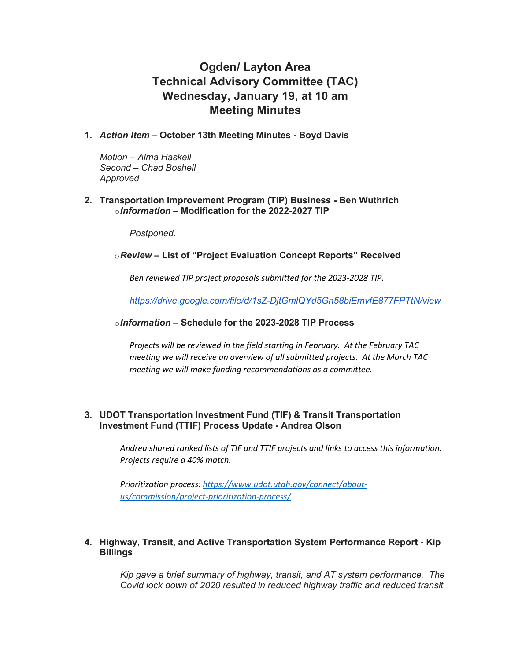# **Ogden/ Layton Area Technical Advisory Committee (TAC) Wednesday, January 19, at 10 am Meeting Minutes**

**1.** *Action Item* **– October 13th Meeting Minutes - Boyd Davis**

*Motion – Alma Haskell Second – Chad Boshell Approved*

#### **2. Transportation Improvement Program (TIP) Business - Ben Wuthrich** o*Information* **– Modification for the 2022-2027 TIP**

*Postponed.*

#### o*Review* **– List of "Project Evaluation Concept Reports" Received**

*Ben reviewed TIP project proposals submitted for the 2023-2028 TIP.* 

*<https://drive.google.com/file/d/1sZ-DjtGmlQYd5Gn58biEmvfE877FPTtN/view>*

#### o*Information* **– Schedule for the 2023-2028 TIP Process**

*Projects will be reviewed in the field starting in February. At the February TAC meeting we will receive an overview of all submitted projects. At the March TAC meeting we will make funding recommendations as a committee.*

#### **3. UDOT Transportation Investment Fund (TIF) & Transit Transportation Investment Fund (TTIF) Process Update - Andrea Olson**

*Andrea shared ranked lists of TIF and TTIF projects and links to access this information. Projects require a 40% match.* 

*Prioritization process: [https://www.udot.utah.gov/connect/about](https://www.udot.utah.gov/connect/about-us/commission/project-prioritization-process/)[us/commission/project-prioritization-process/](https://www.udot.utah.gov/connect/about-us/commission/project-prioritization-process/)*

## **4. Highway, Transit, and Active Transportation System Performance Report - Kip Billings**

*Kip gave a brief summary of highway, transit, and AT system performance. The Covid lock down of 2020 resulted in reduced highway traffic and reduced transit*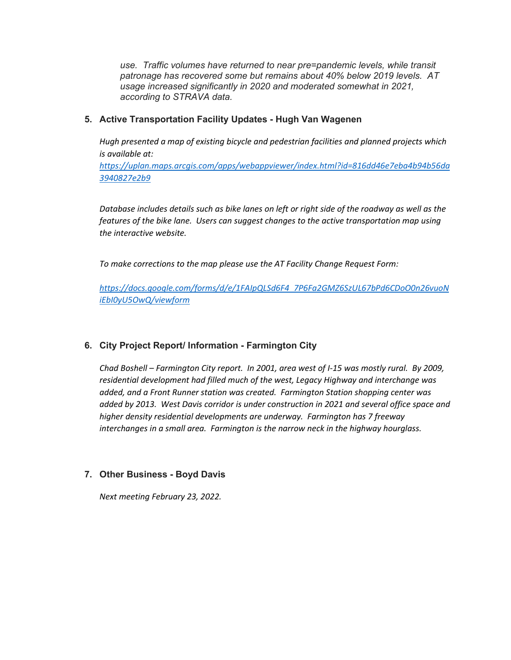*use. Traffic volumes have returned to near pre=pandemic levels, while transit patronage has recovered some but remains about 40% below 2019 levels. AT usage increased significantly in 2020 and moderated somewhat in 2021, according to STRAVA data.*

### **5. Active Transportation Facility Updates - Hugh Van Wagenen**

*Hugh presented a map of existing bicycle and pedestrian facilities and planned projects which is available at:*

*[https://uplan.maps.arcgis.com/apps/webappviewer/index.html?id=816dd46e7eba4b94b56da](https://uplan.maps.arcgis.com/apps/webappviewer/index.html?id=816dd46e7eba4b94b56da3940827e2b9) [3940827e2b9](https://uplan.maps.arcgis.com/apps/webappviewer/index.html?id=816dd46e7eba4b94b56da3940827e2b9)*

*Database includes details such as bike lanes on left or right side of the roadway as well as the features of the bike lane. Users can suggest changes to the active transportation map using the interactive website.*

*To make corrections to the map please use the AT Facility Change Request Form:* 

*https://docs.google.com/forms/d/e/1FAIpQLSd6F4\_7P6Fa2GMZ6SzUL67bPd6CDoO0n26vuoN iEbI0yU5OwQ/viewform*

# **6. City Project Report/ Information - Farmington City**

*Chad Boshell – Farmington City report. In 2001, area west of I-15 was mostly rural. By 2009, residential development had filled much of the west, Legacy Highway and interchange was added, and a Front Runner station was created. Farmington Station shopping center was added by 2013. West Davis corridor is under construction in 2021 and several office space and higher density residential developments are underway. Farmington has 7 freeway interchanges in a small area. Farmington is the narrow neck in the highway hourglass.* 

#### **7. Other Business - Boyd Davis**

*Next meeting February 23, 2022.*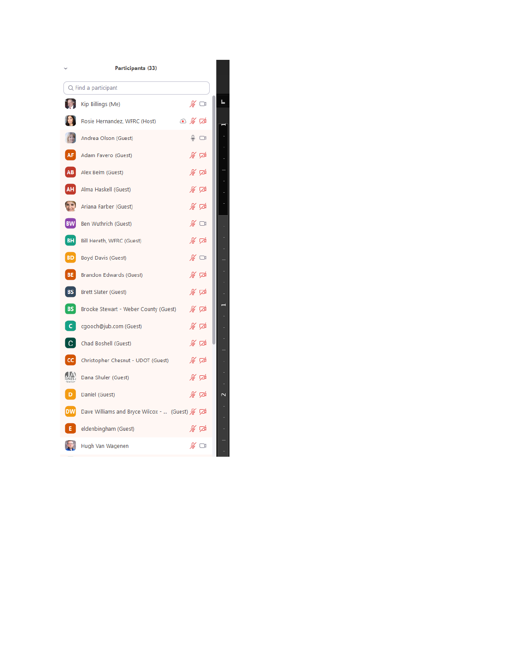|               | Participants (33)                                |                         |  |
|---------------|--------------------------------------------------|-------------------------|--|
|               | Q Find a participant                             |                         |  |
|               | Kip Billings (Me)                                | $\mathscr{L} \ \Box$    |  |
|               | Rosie Hernandez, WFRC (Host)                     | $\circ$ % $\varnothing$ |  |
|               | Andrea Olson (Guest)                             | $\circledcirc$          |  |
| AF            | Adam Favero (Guest)                              | % 龙                     |  |
| AB            | Alex Beim (Guest)                                | ∦ ⊄                     |  |
| AH            | Alma Haskell (Guest)                             | ∦∑                      |  |
|               | Ariana Farber (Guest)                            | ∦ ⊄                     |  |
| <b>BW</b>     | Ben Wuthrich (Guest)                             | ∦ ⊡                     |  |
|               | <b>BH</b> Bill Hereth, WFRC (Guest)              | ∦ ⊄                     |  |
|               | <b>BD</b> Boyd Davis (Guest)                     | $\mathscr{L} \ \ \Box$  |  |
| BE            | Brandon Edwards (Guest)                          | % 龙                     |  |
|               | <b>BS</b> Brett Slater (Guest)                   | ∦⊽                      |  |
| BS            | Brooke Stewart - Weber County (Guest)            | ∦∑∆                     |  |
| C.            | cgooch@jub.com (Guest)                           | ∦ ⊄                     |  |
| $\mathsf{C}$  | Chad Boshell (Guest)                             | ∦ ⊄                     |  |
| CC            | Christopher Chesnut - UDOT (Guest)               | ∦ ⊄                     |  |
| $\mathcal{L}$ | Dana Shuler (Guest)                              | ∦ ⊄                     |  |
| D.            | Daniel (Guest)                                   | ∦ ⊄                     |  |
|               | DW Dave Williams and Bryce Wilcox -  (Guest) & D |                         |  |
| ΕI            | eldenbingham (Guest)                             | ∦ ⊄                     |  |
|               | Hugh Van Wagenen                                 | ∦ ⊡                     |  |
|               |                                                  |                         |  |